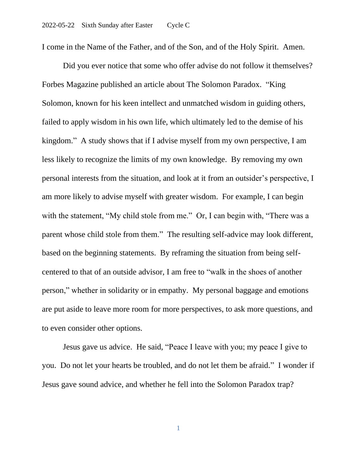I come in the Name of the Father, and of the Son, and of the Holy Spirit. Amen.

Did you ever notice that some who offer advise do not follow it themselves? Forbes Magazine published an article about The Solomon Paradox. "King Solomon, known for his keen intellect and unmatched wisdom in guiding others, failed to apply wisdom in his own life, which ultimately led to the demise of his kingdom." A study shows that if I advise myself from my own perspective, I am less likely to recognize the limits of my own knowledge. By removing my own personal interests from the situation, and look at it from an outsider's perspective, I am more likely to advise myself with greater wisdom. For example, I can begin with the statement, "My child stole from me." Or, I can begin with, "There was a parent whose child stole from them." The resulting self-advice may look different, based on the beginning statements. By reframing the situation from being selfcentered to that of an outside advisor, I am free to "walk in the shoes of another person," whether in solidarity or in empathy. My personal baggage and emotions are put aside to leave more room for more perspectives, to ask more questions, and to even consider other options.

Jesus gave us advice. He said, "Peace I leave with you; my peace I give to you. Do not let your hearts be troubled, and do not let them be afraid." I wonder if Jesus gave sound advice, and whether he fell into the Solomon Paradox trap?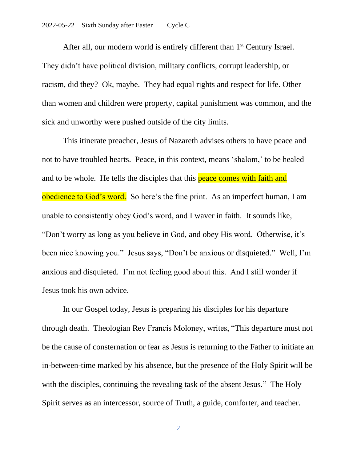After all, our modern world is entirely different than  $1<sup>st</sup>$  Century Israel. They didn't have political division, military conflicts, corrupt leadership, or racism, did they? Ok, maybe. They had equal rights and respect for life. Other than women and children were property, capital punishment was common, and the sick and unworthy were pushed outside of the city limits.

This itinerate preacher, Jesus of Nazareth advises others to have peace and not to have troubled hearts. Peace, in this context, means 'shalom,' to be healed and to be whole. He tells the disciples that this peace comes with faith and obedience to God's word. So here's the fine print. As an imperfect human, I am unable to consistently obey God's word, and I waver in faith. It sounds like, "Don't worry as long as you believe in God, and obey His word. Otherwise, it's been nice knowing you." Jesus says, "Don't be anxious or disquieted." Well, I'm anxious and disquieted. I'm not feeling good about this. And I still wonder if Jesus took his own advice.

In our Gospel today, Jesus is preparing his disciples for his departure through death. Theologian Rev Francis Moloney, writes, "This departure must not be the cause of consternation or fear as Jesus is returning to the Father to initiate an in-between-time marked by his absence, but the presence of the Holy Spirit will be with the disciples, continuing the revealing task of the absent Jesus." The Holy Spirit serves as an intercessor, source of Truth, a guide, comforter, and teacher.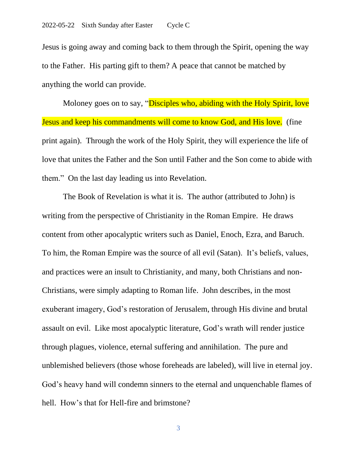Jesus is going away and coming back to them through the Spirit, opening the way to the Father. His parting gift to them? A peace that cannot be matched by anything the world can provide.

Moloney goes on to say, "Disciples who, abiding with the Holy Spirit, love Jesus and keep his commandments will come to know God, and His love. (fine print again). Through the work of the Holy Spirit, they will experience the life of love that unites the Father and the Son until Father and the Son come to abide with them." On the last day leading us into Revelation.

The Book of Revelation is what it is. The author (attributed to John) is writing from the perspective of Christianity in the Roman Empire. He draws content from other apocalyptic writers such as Daniel, Enoch, Ezra, and Baruch. To him, the Roman Empire was the source of all evil (Satan). It's beliefs, values, and practices were an insult to Christianity, and many, both Christians and non-Christians, were simply adapting to Roman life. John describes, in the most exuberant imagery, God's restoration of Jerusalem, through His divine and brutal assault on evil. Like most apocalyptic literature, God's wrath will render justice through plagues, violence, eternal suffering and annihilation. The pure and unblemished believers (those whose foreheads are labeled), will live in eternal joy. God's heavy hand will condemn sinners to the eternal and unquenchable flames of hell. How's that for Hell-fire and brimstone?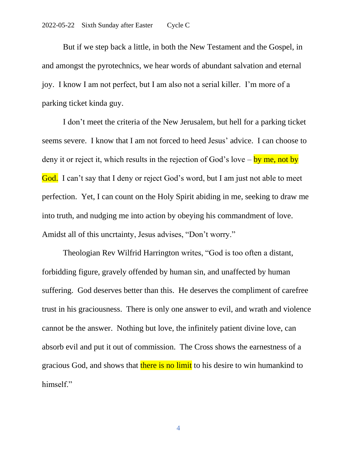But if we step back a little, in both the New Testament and the Gospel, in and amongst the pyrotechnics, we hear words of abundant salvation and eternal joy. I know I am not perfect, but I am also not a serial killer. I'm more of a parking ticket kinda guy.

I don't meet the criteria of the New Jerusalem, but hell for a parking ticket seems severe. I know that I am not forced to heed Jesus' advice. I can choose to deny it or reject it, which results in the rejection of God's love – by me, not by God. I can't say that I deny or reject God's word, but I am just not able to meet perfection. Yet, I can count on the Holy Spirit abiding in me, seeking to draw me into truth, and nudging me into action by obeying his commandment of love. Amidst all of this uncrtainty, Jesus advises, "Don't worry."

Theologian Rev Wilfrid Harrington writes, "God is too often a distant, forbidding figure, gravely offended by human sin, and unaffected by human suffering. God deserves better than this. He deserves the compliment of carefree trust in his graciousness. There is only one answer to evil, and wrath and violence cannot be the answer. Nothing but love, the infinitely patient divine love, can absorb evil and put it out of commission. The Cross shows the earnestness of a gracious God, and shows that there is no limit to his desire to win humankind to himself."